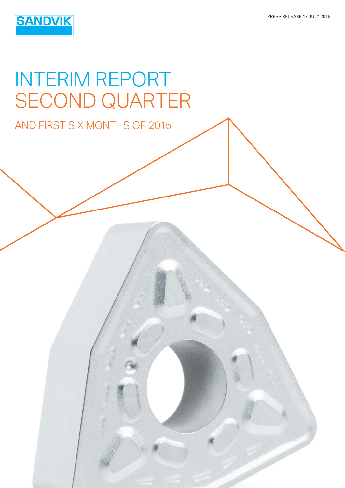

# INTERIM REPORT SECOND QUARTER

AND FIRST SIX MONTHS OF 2015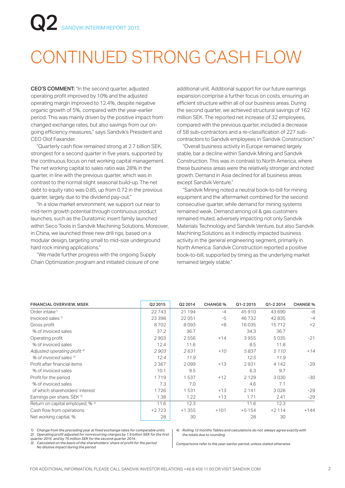# CONTINUED STRONG CASH FLOW

CEO'S COMMENT: "In the second quarter, adjusted operating profit improved by 10% and the adjusted operating margin improved to 12.4%, despite negative organic growth of 5%, compared with the year-earlier period. This was mainly driven by the positive impact from changed exchange rates, but also savings from our ongoing efficiency measures," says Sandvik's President and CEO Olof Faxander.

"Quarterly cash flow remained strong at 2.7 billion SEK, strongest for a second quarter in five years, supported by the continuous focus on net working capital management. The net working capital to sales ratio was 28% in the quarter, in line with the previous quarter, which was in contrast to the normal slight seasonal build-up. The net debt to equity ratio was 0.85, up from 0.72 in the previous quarter, largely due to the dividend pay-out."

 "In a slow market environment, we support our near to mid-term growth potential through continuous product launches, such as the Duratomic insert family launched within Seco Tools in Sandvik Machining Solutions. Moreover, in China, we launched three new drill rigs, based on a modular design, targeting small to mid-size underground hard rock mining applications."

 "We made further progress with the ongoing Supply Chain Optimization program and initiated closure of one additional unit. Additional support for our future earnings expansion comprise a further focus on costs, ensuring an efficient structure within all of our business areas. During the second quarter, we achieved structural savings of 162 million SEK. The reported net increase of 32 employees, compared with the previous quarter, included a decrease of 58 sub-contractors and a re-classification of 227 subcontractors to Sandvik employees in Sandvik Construction."

 "Overall business activity in Europe remained largely stable, bar a decline within Sandvik Mining and Sandvik Construction. This was in contrast to North America, where these business areas were the relatively stronger and noted growth. Demand in Asia declined for all business areas except Sandvik Venture."

 "Sandvik Mining noted a neutral book-to-bill for mining equipment and the aftermarket combined for the second consecutive quarter, while demand for mining systems remained weak. Demand among oil & gas customers remained muted, adversely impacting not only Sandvik Materials Technology and Sandvik Venture, but also Sandvik Machining Solutions as it indirectly impacted business activity in the general engineering segment, primarily in North America. Sandvik Construction reported a positive book-to-bill, supported by timing as the underlying market remained largely stable."

| FINANCIAL OVERVIEW, MSEK                | Q2 2015 | Q2 2014 | <b>CHANGE %</b> | Q1-2 2015 | Q1-2 2014 | <b>CHANGE %</b> |
|-----------------------------------------|---------|---------|-----------------|-----------|-----------|-----------------|
| Order intake <sup>1)</sup>              | 22743   | 21 194  | $-4$            | 45 910    | 43 690    | -8              |
| Invoiced sales $1$                      | 23 398  | 22051   | $-5$            | 46732     | 42835     | $-4$            |
| Gross profit                            | 8702    | 8093    | $+8$            | 16035     | 15712     | $+2$            |
| % of invoiced sales                     | 37.2    | 36.7    |                 | 34.3      | 36.7      |                 |
| Operating profit                        | 2903    | 2556    | $+14$           | 3955      | 5035      | $-21$           |
| % of invoiced sales                     | 12.4    | 11.6    |                 | 8.5       | 11.8      |                 |
| Adjusted operating profit <sup>2)</sup> | 2903    | 2631    | $+10$           | 5837      | 5 1 1 0   | $+14$           |
| % of invoiced sales 2                   | 12.4    | 11.9    |                 | 12.5      | 11.9      |                 |
| Profit after financial items            | 2 3 6 7 | 2099    | $+13$           | 2931      | 4 1 4 2   | $-29$           |
| % of invoiced sales                     | 10.1    | 9.5     |                 | 6.3       | 9.7       |                 |
| Profit for the period                   | 1719    | 1537    | $+12$           | 2 1 2 9   | 3030      | $-30$           |
| % of invoiced sales                     | 7.3     | 7.0     |                 | 4.6       | 7.1       |                 |
| of which shareholders' interest         | 1726    | 1531    | $+13$           | 2 1 4 1   | 3026      | $-29$           |
| Earnings per share, SEK 3)              | 1.38    | 1.22    | $+13$           | 1.71      | 2.41      | $-29$           |
| Return on capital employed, % 4)        | 11.6    | 12.3    |                 | 11.6      | 12.3      |                 |
| Cash flow from operations               | $+2723$ | $+1355$ | $+101$          | $+5154$   | $+2114$   | $+144$          |
| Net working capital, %                  | 28      | 30      |                 | 28        | 30        |                 |

*1) Change from the preceding year at fixed exchange rates for comparable units 2) Operating profit adjusted for nonrecurring charges by 1.9 billion SEK for the first* 

*quarter 2015 and by 75 million SEK for the second quarter 2014. 3) Calculated on the basis of the shareholders' share of profit for the period No dilutive impact during the period*

*4) Rolling 12 months Tables and calculations do not always agree exactly with the totals due to rounding*

*Comparisons refer to the year-earlier period, unless stated otherwise*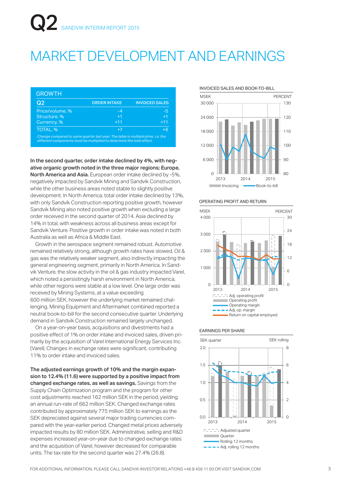## MARKET DEVELOPMENT AND EARNINGS

| Q <sub>2</sub>  | <b>ORDER INTAKE</b> | <b>INVOICED SALES</b> |
|-----------------|---------------------|-----------------------|
| Price/volume, % | $-4$                | -5                    |
| Structure, %    | $+1$                | $+1$                  |
| Currency, %     | $+11$               | $+11$                 |
| TOTAL, %        | $+7$                | $+6$                  |

In the second quarter, order intake declined by 4%, with negative organic growth noted in the three major regions; Europe, North America and Asia. European order intake declined by -5%, negatively impacted by Sandvik Mining and Sandvik Construction, while the other business areas noted stable to slightly positive development. In North America, total order intake declined by 13%, with only Sandvik Construction reporting positive growth, however Sandvik Mining also noted positive growth when excluding a large order received in the second quarter of 2014. Asia declined by 14% in total, with weakness across all business areas except for Sandvik Venture. Positive growth in order intake was noted in both Australia as well as Africa & Middle East.

 Growth in the aerospace segment remained robust. Automotive remained relatively strong, although growth rates have slowed. Oil & gas was the relatively weaker segment, also indirectly impacting the general engineering segment, primarily in North America. In Sandvik Venture, the slow activity in the oil & gas industry impacted Varel, which noted a persistingly harsh environment in North America, while other regions were stable at a low level. One large order was received by Mining Systems, at a value exceeding 600 million SEK, however the underlying market remained challenging. Mining Equipment and Aftermarket combined reported a neutral book-to-bill for the second consecutive quarter. Underlying demand in Sandvik Construction remained largely unchanged.

 On a year-on-year basis, acquisitions and divestments had a positive effect of 1% on order intake and invoiced sales, driven primarily by the acquisition of Varel International Energy Services Inc. (Varel). Changes in exchange rates were significant, contributing 11% to order intake and invoiced sales.

The adjusted earnings growth of 10% and the margin expansion to 12.4% (11.6) were supported by a positive impact from changed exchange rates, as well as savings. Savings from the Supply Chain Optimization program and the program for other cost adjustments reached 162 million SEK in the period, yielding an annual run-rate of 662 million SEK. Changed exchange rates contributed by approximately 775 million SEK to earnings as the SEK depreciated against several major trading currencies compared with the year-earlier period. Changed metal prices adversely impacted results by 80 million SEK. Administrative, selling and R&D expenses increased year-on-year due to changed exchange rates and the acquisition of Varel, however decreased for comparable units. The tax rate for the second quarter was 27.4% (26.8).

INVOICED SALES AND BOOK-TO-BILL



#### OPERATING PROFIT AND RETURN



#### EARNINGS PER SHARE

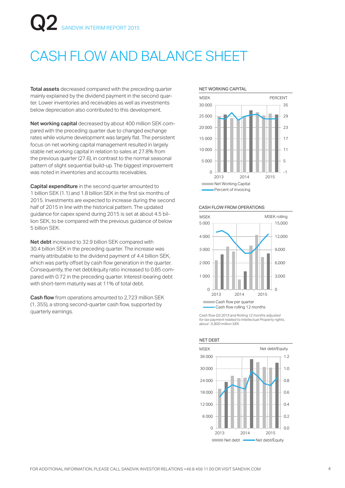# CASH FLOW AND BALANCE SHEET

Total assets decreased compared with the preceding quarter mainly explained by the dividend payment in the second quarter. Lower inventories and receivables as well as investments below depreciation also contributed to this development.

Net working capital decreased by about 400 million SEK compared with the preceding quarter due to changed exchange rates while volume development was largely flat. The persistent focus on net working capital management resulted in largely stable net working capital in relation to sales at 27.8% from the previous quarter (27.6), in contrast to the normal seasonal pattern of slight sequential build-up. The biggest improvement was noted in inventories and accounts receivables.

Capital expenditure in the second quarter amounted to 1 billion SEK (1.1) and 1.8 billion SEK in the first six months of 2015. Investments are expected to increase during the second half of 2015 in line with the historical pattern. The updated guidance for capex spend during 2015 is set at about 4.5 billion SEK, to be compared with the previous guidance of below 5 billion SEK.

Net debt increased to 32.9 billion SEK compared with 30.4 billion SEK in the preceding quarter. The increase was mainly attributable to the dividend payment of 4.4 billion SEK, which was partly offset by cash flow generation in the quarter. Consequently, the net debt/equity ratio increased to 0.85 compared with 0.72 in the preceding quarter. Interest-bearing debt with short-term maturity was at 11% of total debt.

**Cash flow** from operations amounted to 2,723 million SEK (1, 355), a strong second-quarter cash flow, supported by quarterly earnings.





#### CASH FLOW FROM OPERATIONS



*Cash flow Q3 2013 and Rolling 12 months adjusted for tax payment related to Intellectual Property rights, about -5,800 million SEK.*



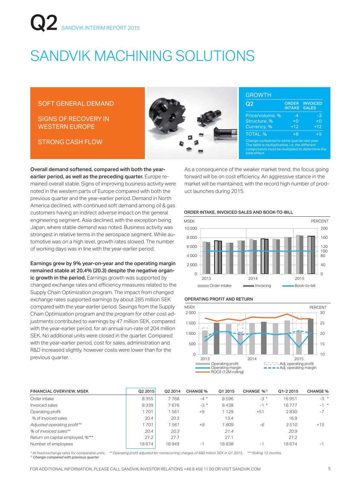# SANDVIK MACHINING SOLUTIONS

#### SOFT GENERAL DEMAND

SIGNS OF RECOVERY IN WESTERN EUROPE

STRONG CASH FLOW



| Q <sub>2</sub>  | <b>ORDER</b><br><b>INTAKE</b> | <b>INVOICED</b><br><b>SALES</b> |
|-----------------|-------------------------------|---------------------------------|
| Price/volume, % | $-4$                          | -3                              |
| Structure, %    | $+0$                          | $+0$                            |
| Currency, %     | $+12$                         | $+12$                           |
| TOTAL, %        | $+8$                          | $+9$                            |

Overall demand softened, compared with both the yearearlier period, as well as the preceding quarter. Europe remained overall stable. Signs of improving business activity were noted in the western parts of Europe compared with both the previous quarter and the year-earlier period. Demand in North America declined, with continued soft demand among oil & gas customers having an indirect adverse impact on the general engineering segment. Asia declined, with the exception being Japan, where stable demand was noted. Business activity was strongest in relative terms in the aerospace segment. While automotive was on a high level, growth rates slowed. The number of working days was in line with the year-earlier period.

Earnings grew by 9% year-on-year and the operating margin remained stable at 20.4% (20.3) despite the negative organic growth in the period. Earnings growth was supported by changed exchange rates and efficiency measures related to the Supply Chain Optimization program. The impact from changed exchange rates supported earnings by about 285 million SEK compared with the year-earlier period. Savings from the Supply Chain Optimization program and the program for other cost adjustments contributed to earnings by 47 million SEK, compared with the year-earlier period, for an annual run-rate of 204 million SEK. No additional units were closed in the quarter. Compared with the year-earlier period, cost for sales, administration and R&D increased slightly, however costs were lower than for the previous quarter.

As a consequence of the weaker market trend, the focus going forward will be on cost efficiency. An aggressive stance in the market will be maintained, with the record high number of product launches during 2015.

#### ORDER INTAKE, INVOICED SALES AND BOOK-TO-BILL



#### OPERATING PROFIT AND RETURN



| <b>FINANCIAL OVERVIEW, MSEK</b>  | Q2 2015 | Q2 2014 | <b>CHANGE %</b> | Q1 2015 | CHANGE % <sup>1)</sup> | Q1-2 2015 | <b>CHANGE %</b> |
|----------------------------------|---------|---------|-----------------|---------|------------------------|-----------|-----------------|
| Order intake                     | 8355    | 7768    | $-4$ *          | 8596    | $-3*$                  | 16951     | $-3$ *          |
| Invoiced sales                   | 8339    | 7676    | $-3*$           | 8438    | $-1$ *                 | 16777     | $-1$ *          |
| Operating profit                 | 1701    | 561     | $+9$            | 1 1 2 9 | $+51$                  | 2830      | $-7$            |
| % of invoiced sales              | 20.4    | 20.3    |                 | 13.4    |                        | 16.9      |                 |
| Adjusted operating profit**      | 1701    | 561     | $+9$            | 809     | -6                     | 3510      | $+15$           |
| % of invoiced sales**            | 20.4    | 20.3    |                 | 21.4    |                        | 20.9      |                 |
| Return on capital employed, %*** | 27.2    | 27.7    |                 | 27.1    |                        | 27.2      |                 |
| Number of employees              | 18 674  | 18949   | нT              | 18838   | ÷                      | 18674     | ÷               |

*\* At fixed exchange rates for comparable units, \*\* Operating profit adjusted for nonrecurring charges of 680 million SEK in Q1 2015, \*\*\* Rolling 12 months 1) Change compared with previous quarter*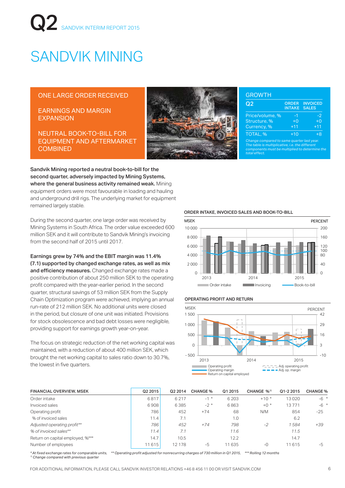# SANDVIK MINING

#### ONE LARGE ORDER RECEIVED

EARNINGS AND MARGIN EXPANSION

NEUTRAL BOOK-TO-BILL FOR EQUIPMENT AND AFTERMARKET **COMBINED** 



|  |  | <b>GROW</b> |  |
|--|--|-------------|--|
|  |  |             |  |
|  |  |             |  |
|  |  |             |  |

GROWTH

| Q2                                         | <b>ORDER</b><br><b>INTAKE</b> | <b>INVOICED</b><br><b>SALES</b> |
|--------------------------------------------|-------------------------------|---------------------------------|
| Price/volume, %                            | $-1$                          | $-2$                            |
| Structure, %                               | $+0$                          | $+0$                            |
| Currency, %                                | $+11$                         | $+11$                           |
| TOTAL, %                                   | $+10$                         | +8                              |
| Change compared to same quarter last year. |                               |                                 |

*The table is multiplicative, i.e. the different components must be multiplied to determine the total effect.*

Sandvik Mining reported a neutral book-to-bill for the second quarter, adversely impacted by Mining Systems, where the general business activity remained weak. Mining equipment orders were most favourable in loading and hauling and underground drill rigs. The underlying market for equipment remained largely stable.

During the second quarter, one large order was received by Mining Systems in South Africa. The order value exceeded 600 million SEK and it will contribute to Sandvik Mining's invoicing from the second half of 2015 until 2017.

Earnings grew by 74% and the EBIT margin was 11.4% (7.1) supported by changed exchange rates, as well as mix and efficiency measures. Changed exchange rates made a positive contribution of about 250 million SEK to the operating profit compared with the year-earlier period. In the second quarter, structural savings of 53 million SEK from the Supply Chain Optimization program were achieved, implying an annual run-rate of 212 million SEK. No additional units were closed in the period, but closure of one unit was initiated. Provisions for stock obsolescence and bad debt losses were negligible, providing support for earnings growth year-on-year.

The focus on strategic reduction of the net working capital was maintained, with a reduction of about 400 million SEK, which brought the net working capital to sales ratio down to 30.7%, the lowest in five quarters.

ORDER INTAKE, INVOICED SALES AND BOOK-TO-BILL



#### OPERATING PROFIT AND RETURN



| <b>FINANCIAL OVERVIEW, MSEK</b>  | Q2 2015 | Q2 2014 | <b>CHANGE %</b> | Q1 2015 | CHANGE % <sup>1)</sup> | Q1-2 2015 | <b>CHANGE %</b> |
|----------------------------------|---------|---------|-----------------|---------|------------------------|-----------|-----------------|
| Order intake                     | 6817    | 6217    | $-1$ *          | 6 2 0 3 | $+10*$                 | 13020     | $-6$ *          |
| Invoiced sales                   | 6908    | 6385    | $-2$ *          | 6863    | $+0$ *                 | 13771     | $-6$ *          |
| Operating profit                 | 786     | 452     | $+74$           | 68      | N/M                    | 854       | $-25$           |
| % of invoiced sales              | 11.4    | 7.1     |                 | 1.0     |                        | 6.2       |                 |
| Adjusted operating profit**      | 786     | 452     | $+74$           | 798     | $-2$                   | 1584      | +39             |
| % of invoiced sales**            | 11.4    | 7.1     |                 | 11.6    |                        | 11.5      |                 |
| Return on capital employed, %*** | 14.7    | 10.5    |                 | 12.2    |                        | 14.7      |                 |
| Number of employees              | 11615   | 12 178  | $-5$            | 11 635  | $-0$                   | 11615     | -5              |

*\* At fixed exchange rates for comparable units, \*\* Operating profit adjusted for nonrecurring charges of 730 million in Q1 2015, \*\*\* Rolling 12 months 1) Change compared with previous quarter*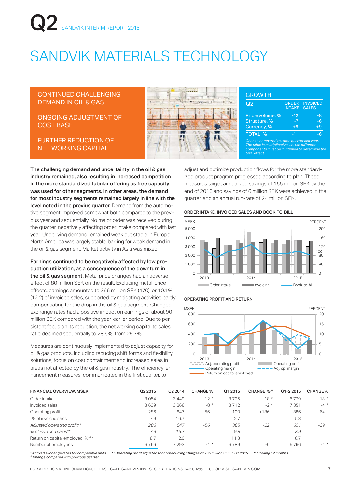# SANDVIK MATERIALS TECHNOLOGY

#### CONTINUED CHALLENGING DEMAND IN OIL & GAS

#### ONGOING ADJUSTMENT OF COST BASE

FURTHER REDUCTION OF NET WORKING CAPITAL



#### *Change compa The table is multiplicative, i.e. the different components must be multiplied to determine the total effect.* Price/volume, % -12 -8 Structure, % -7 -6  $Current, %$   $+9$   $+9$ TOTAL, % and  $-11$  -6 Q<sub>2</sub> ORDER INTAKE **INVOICED** SALES GROWTH

The challenging demand and uncertainty in the oil & gas industry remained, also resulting in increased competition in the more standardized tubular offering as free capacity was used for other segments. In other areas, the demand for most industry segments remained largely in line with the level noted in the previus quarter. Demand from the automotive segment improved somewhat both compared to the previous year and sequentially. No major order was received during the quarter, negatively affecting order intake compared with last year. Underlying demand remained weak but stable in Europe. North America was largely stable, barring for weak demand in the oil & gas segment. Market activity in Asia was mixed.

Earnings continued to be negatively affected by low production utilization, as a consequence of the downturn in the oil & gas segment. Metal price changes had an adverse effect of 80 million SEK on the result. Excluding metal-price effects, earnings amounted to 366 million SEK (470), or 10.1% (12.2) of invoiced sales, supported by mitigating activities partly compensating for the drop in the oil & gas segment. Changed exchange rates had a positive impact on earnings of about 90 million SEK compared with the year-earlier period. Due to persistent focus on its reduction, the net working capital to sales ratio declined sequentially to 28.6%, from 29.7%.

Measures are continuously implemented to adjust capacity for oil & gas products, including reducing shift forms and flexibility solutions, focus on cost containment and increased sales in areas not affected by the oil & gas industry. The efficiency-enhancement measures, communicated in the first quarter, to

ized product program progressed according to plan. These measures target annualized savings of 165 million SEK by the end of 2016 and savings of 6 million SEK were achieved in the quarter, and an annual run-rate of 24 million SEK.

adjust and optimize production flows for the more standard-

#### ORDER INTAKE, INVOICED SALES AND BOOK-TO-BILL



#### OPERATING PROFIT AND RETURN



| <b>FINANCIAL OVERVIEW, MSEK</b>  | Q <sub>2</sub> 2015 | Q2 2014 | <b>CHANGE %</b> | Q1 2015 | CHANGE % <sup>1)</sup> | Q1-2 2015 | <b>CHANGE %</b> |
|----------------------------------|---------------------|---------|-----------------|---------|------------------------|-----------|-----------------|
| Order intake                     | 3054                | 3449    | $-12*$          | 3725    | $-18*$                 | 6779      | $-18*$          |
| Invoiced sales                   | 3639                | 3866    | $-8*$           | 3712    | $-2$ *                 | 7351      | $-4$ *          |
| Operating profit                 | 286                 | 647     | $-56$           | 100     | $+186$                 | 386       | $-64$           |
| % of invoiced sales              | 7.9                 | 16.7    |                 | 2.7     |                        | 5.3       |                 |
| Adjusted operating profit**      | 286                 | 647     | -56             | 365     | $-22$                  | 651       | -39             |
| % of invoiced sales**            | 7.9                 | 16.7    |                 | 9.8     |                        | 8.9       |                 |
| Return on capital employed, %*** | 8.7                 | 12.0    |                 | 11.3    |                        | 8.7       |                 |
| Number of employees              | 6766                | 7 293   | $-4$ *          | 6789    | $-0$                   | 6766      | $-4$ *          |

*\* At fixed exchange rates for comparable units, \*\* Operating profit adjusted for nonrecurring charges of 265 million SEK in Q1 2015, \*\*\* Rolling 12 months 1) Change compared with previous quarter*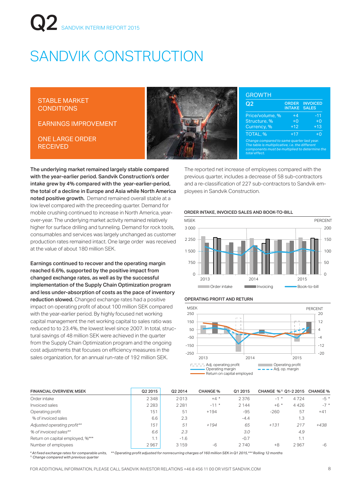# SANDVIK CONSTRUCTION

STABLE MARKET **CONDITIONS** 

EARNINGS IMPROVEMENT

ONE LARGE ORDER **RECEIVED** 



| Q2              | <b>INTAKE</b> | <b>INVOICED</b><br><b>SALES</b> |
|-----------------|---------------|---------------------------------|
| Price/volume, % | $+4$          | $-11$                           |
| Structure, %    | $+0$          | $+0$                            |
| Currency, %     | $+12$         | $+13$                           |
| <b>TOTAL, %</b> | ±17           | $+0$                            |

The underlying market remained largely stable compared with the year-earlier period. Sandvik Construction's order intake grew by 4% compared with the year-earlier-period, the total of a decline in Europe and Asia while North America noted positive growth. Demand remained overall stable at a low level compared with the preceeding quarter. Demand for mobile crushing continued to increase in North America, yearover-year. The underlying market activity remained relatively higher for surface drilling and tunneling. Demand for rock tools, consumables and services was largely unchanged as customer production rates remained intact. One large order was received at the value of about 180 million SEK.

Earnings continued to recover and the operating margin reached 6.6%, supported by the positive impact from changed exchange rates, as well as by the successful implementation of the Supply Chain Optimization program and less under-absorption of costs as the pace of inventory reduction slowed. Changed exchange rates had a positive impact on operating profit of about 100 million SEK compared with the year-earlier period. By highly focused net working capital management the net working capital to sales ratio was reduced to to 23.4%, the lowest level since 2007. In total, structural savings of 48 million SEK were achieved in the quarter from the Supply Chain Optimization program and the ongoing cost adjustments that focuses on efficiency measures in the sales organization, for an annual run-rate of 192 million SEK.

The reported net increase of employees compared with the previous quarter, includes a decrease of 58 sub-contractors and a re-classification of 227 sub-contractors to Sandvik employees in Sandvik Construction.

#### ORDER INTAKE, INVOICED SALES AND BOOK-TO-BILL



#### OPERATING PROFIT AND RETURN



| <b>FINANCIAL OVERVIEW, MSEK</b>  | Q2 2015 | Q2 2014 | <b>CHANGE %</b> | Q1 2015 | CHANGE %1) Q1-2 2015 CHANGE % |      |       |
|----------------------------------|---------|---------|-----------------|---------|-------------------------------|------|-------|
| Order intake                     | 2348    | 2013    | $+4$ *          | 2376    | $-1$ *                        | 4724 | $-5*$ |
| Invoiced sales                   | 2 2 8 3 | 2 2 8 1 | $-11$ *         | 2 1 4 4 | $+6$ *                        | 4426 | $-7*$ |
| Operating profit                 | 151     | 51      | $+194$          | $-95$   | $-260$                        | 57   | $+41$ |
| % of invoiced sales              | 6.6     | 2.3     |                 | $-4.4$  |                               | 1.3  |       |
| Adjusted operating profit**      | 151     | 51      | $+194$          | 65      | $+131$                        | 217  | +438  |
| % of invoiced sales**            | 6.6     | 2.3     |                 | 3.0     |                               | 4,9  |       |
| Return on capital employed, %*** | 1.1     | $-1.6$  |                 | $-0.7$  |                               | 1.1  |       |
| Number of employees              | 2967    | 3 1 5 9 | $-6$            | 2740    | $+8$                          | 2967 | -6    |
|                                  |         |         |                 |         |                               |      |       |

*\* At fixed exchange rates for comparable units, \*\* Operating profit adjusted for nonrecurring charges of 160 million SEK in Q1 2015,\*\*\* Rolling 12 months 1) Change compared with previous quarter*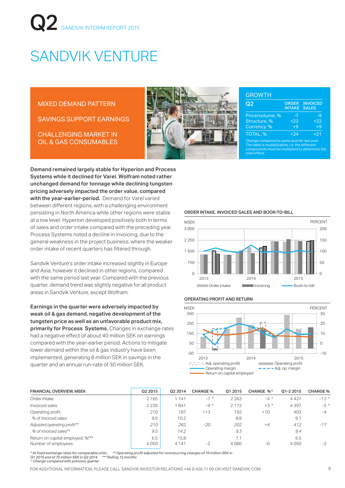# SANDVIK VENTURE

#### MIXED DEMAND PATTERN

SAVINGS SUPPORT EARNINGS

CHALLENGING MARKET IN OIL & GAS CONSUMABLES *Change compared to same quarter last year.* 



#### **GROWTH**

| Q2                                                                                           | <b>ORDER</b><br><b>INTAKE</b> | <b>INVOICED</b><br><b>SALES</b> |
|----------------------------------------------------------------------------------------------|-------------------------------|---------------------------------|
| Price/volume, %                                                                              | -7                            | -9                              |
| Structure, %                                                                                 | $+23$                         | $+22$                           |
| Currency, %                                                                                  | $+9$                          | $+9$                            |
| TOTAL, %                                                                                     | $+24$                         | $+21$                           |
| Change compared to same quarter last year.<br>The table is multiplicative i.e. the different |                               |                                 |

*The table is multiplicative, i.e. the different components must be multiplied to determine the total effect.*

Demand remained largely stable for Hyperion and Process Systems while it declined for Varel. Wolfram noted rather unchanged demand for tonnage while declining tungsten pricing adversely impacted the order value, compared with the year-earlier-period. Demand for Varel varied between different regions, with a challenging environment persisting in North America while other regions were stable at a low level. Hyperion developed positively both in terms of sales and order intake compared with the preceding year. Process Systems noted a decline in invoicing, due to the general weakness in the project business, where the weaker order intake of recent quarters has filtered through.

Sandvik Venture's order intake increased slightly in Europe and Asia, however it declined in other regions, compared with the same period last year. Compared with the previous quarter, demand trend was slightly negative for all product areas in Sandvik Venture, except Wolfram.

Earnings in the quarter were adversely impacted by weak oil & gas demand, negative development of the tungsten price as well as an unfavorable product mix, primarily for Process Systems. Changes in exchange rates had a negative effect of about 40 million SEK on earnings compared with the year-earlier period. Actions to mitigate lower demand within the oil & gas industry have been implemented, generating 8 million SEK in savings in the quarter and an annual run-rate of 30 million SEK.

ORDER INTAKE, INVOICED SALES AND BOOK-TO-BILL



#### OPERATING PROFIT AND RETURN



| <b>FINANCIAL OVERVIEW, MSEK</b>  | Q <sub>2</sub> 2015 | Q2 2014 | <b>CHANGE %</b> | Q1 2015 | CHANGE % <sup>1)</sup> | Q1-2 2015 | <b>CHANGE %</b> |
|----------------------------------|---------------------|---------|-----------------|---------|------------------------|-----------|-----------------|
| Order intake                     | 2 1 6 5             | 1741    | $-7$ *          | 2 2 6 3 | $-4$ *                 | 4 4 2 7   | $-12$ *         |
| Invoiced sales                   | 2226                | 1841    | $-9 *$          | 2 1 7 2 | $+3*$                  | 4397      | $-5*$           |
| Operating profit                 | 210                 | 187     | $+13$           | 192     | $+10$                  | 402       | $-4$            |
| % of invoiced sales              | 9.5                 | 10.2    |                 | 8.8     |                        | 9.1       |                 |
| Adjusted operating profit**      | 210                 | 262     | $-20$           | 202     | $+4$                   | 412       | $-17$           |
| % of invoiced sales**            | 9.5                 | 14.2    |                 | 9.3     |                        | 9.4       |                 |
| Return on capital employed, %*** | 6.5                 | 15.8    |                 | 7.1     |                        | 6.5       |                 |
| Number of employees              | 4050                | 4 1 4 1 | $-2$            | 4060    | $-$ O                  | 4050      | $-2$            |

*\* At fixed exchange rates for comparable units , \*\* Operating profit adjusted for nonrecurring charges of 10 million SEK in Q1 2015 and of 75 million SEK in Q2 2014, \*\*\* Rolling 12 months*

*1) Change compared with previous quarter*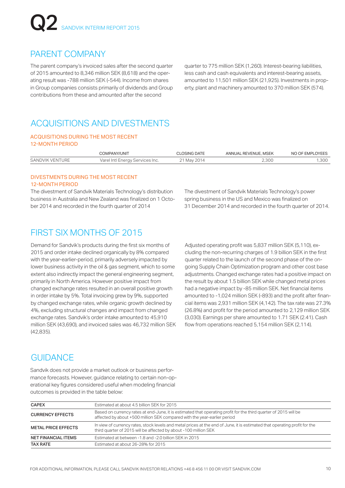### PARENT COMPANY

The parent company's invoiced sales after the second quarter of 2015 amounted to 8,346 million SEK (8,618) and the operating result was -788 million SEK (-544). Income from shares in Group companies consists primarily of dividends and Group contributions from these and amounted after the second

quarter to 775 million SEK (1,260). Interest-bearing liabilities, less cash and cash equivalents and interest-bearing assets, amounted to 11,501 million SEK (21,925). Investments in property, plant and machinery amounted to 370 million SEK (574).

### ACQUISITIONS AND DIVESTMENTS

#### ACQUISITIONS DURING THE MOST RECENT 12-MONTH PERIOD

|                 | COMPANY/UNIT                    | <b>CLOSING DATE</b> | ANNUAL REVENUE, MSEK | NO OF EMPLOYEES |
|-----------------|---------------------------------|---------------------|----------------------|-----------------|
| SANDVIK VENTURE | Varel Intl Energy Services Inc. | I May 2014          | 2.300                | .300            |

#### DIVESTMENTS DURING THE MOST RECENT 12-MONTH PERIOD

The divestment of Sandvik Materials Technology's distribution business in Australia and New Zealand was finalized on 1 October 2014 and recorded in the fourth quarter of 2014

The divestment of Sandvik Materials Technology's power spring business in the US and Mexico was finalized on 31 December 2014 and recorded in the fourth quarter of 2014.

## FIRST SIX MONTHS OF 2015

Demand for Sandvik's products during the first six months of 2015 and order intake declined organically by 8% compared with the year-earlier-period, primarily adversely impacted by lower business activity in the oil & gas segment, which to some extent also indirectly impact the general engineering segment, primarily in North America. However positive impact from changed exchange rates resulted in an overall positive growth in order intake by 5%. Total invoicing grew by 9%, supported by changed exchange rates, while organic growth declined by 4%, excluding structural changes and impact from changed exchange rates. Sandvik's order intake amounted to 45,910 million SEK (43,690), and invoiced sales was 46,732 million SEK (42,835).

Adjusted operating profit was 5,837 million SEK (5,110), excluding the non-recurring charges of 1.9 billion SEK in the first quarter related to the launch of the second phase of the ongoing Supply Chain Optimization program and other cost base adjustments. Changed exchange rates had a positive impact on the result by about 1.5 billion SEK while changed metal prices had a negative impact by -85 million SEK. Net financial items amounted to -1,024 million SEK (-893) and the profit after financial items was 2,931 million SEK (4,142). The tax rate was 27.3% (26.8%) and profit for the period amounted to 2,129 million SEK (3,030). Earnings per share amounted to 1.71 SEK (2.41). Cash flow from operations reached 5,154 million SEK (2,114).

## **GUIDANCE**

Sandvik does not provide a market outlook or business performance forecasts. However, guidance relating to certain non-operational key figures considered useful when modeling financial outcomes is provided in the table below:

| <b>CAPEX</b>               | Estimated at about 4.5 billion SEK for 2015                                                                                                                                                    |
|----------------------------|------------------------------------------------------------------------------------------------------------------------------------------------------------------------------------------------|
| <b>CURRENCY EFFECTS</b>    | Based on currency rates at end-June, it is estimated that operating profit for the third quarter of 2015 will be<br>affected by about +500 million SEK compared with the year-earlier period   |
| <b>METAL PRICE EFFECTS</b> | In view of currency rates, stock levels and metal prices at the end of June, it is estimated that operating profit for the<br>third quarter of 2015 will be affected by about -100 million SEK |
| <b>NET FINANCIAL ITEMS</b> | Estimated at between -1.8 and -2.0 billion SEK in 2015                                                                                                                                         |
| <b>TAX RATE</b>            | Estimated at about 26-28% for 2015                                                                                                                                                             |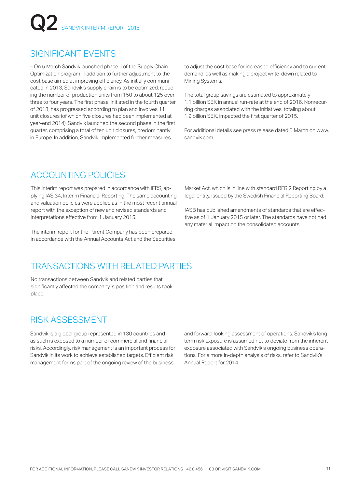## SIGNIFICANT EVENTS

– On 5 March Sandvik launched phase II of the Supply Chain Optimization program in addition to further adjustment to the cost base aimed at improving efficiency. As initially communicated in 2013, Sandvik's supply chain is to be optimized, reducing the number of production units from 150 to about 125 over three to four years. The first phase, initiated in the fourth quarter of 2013, has progressed according to plan and involves 11 unit closures (of which five closures had been implemented at year-end 2014). Sandvik launched the second phase in the first quarter, comprising a total of ten unit closures, predominantly in Europe. In addition, Sandvik implemented further measures

to adjust the cost base for increased efficiency and to current demand, as well as making a project write-down related to Mining Systems.

The total group savings are estimated to approximately 1.1 billion SEK in annual run-rate at the end of 2016. Nonrecurring charges associated with the initiatives, totaling about 1.9 billion SEK, impacted the first quarter of 2015.

For additional details see press release dated 5 March on www. sandvik.com

## ACCOUNTING POLICIES

This interim report was prepared in accordance with IFRS, applying IAS 34, Interim Financial Reporting. The same accounting and valuation policies were applied as in the most recent annual report with the exception of new and revised standards and interpretations effective from 1 January 2015.

The interim report for the Parent Company has been prepared in accordance with the Annual Accounts Act and the Securities

### TRANSACTIONS WITH RELATED PARTIES

No transactions between Sandvik and related parties that significantly affected the company's position and results took place.

### RISK ASSESSMENT

Sandvik is a global group represented in 130 countries and as such is exposed to a number of commercial and financial risks. Accordingly, risk management is an important process for Sandvik in its work to achieve established targets. Efficient risk management forms part of the ongoing review of the business

Market Act, which is in line with standard RFR 2 Reporting by a legal entity, issued by the Swedish Financial Reporting Board.

IASB has published amendments of standards that are effective as of 1 January 2015 or later. The standards have not had any material impact on the consolidated accounts.

and forward-looking assessment of operations. Sandvik's longterm risk exposure is assumed not to deviate from the inherent exposure associated with Sandvik's ongoing business operations. For a more in-depth analysis of risks, refer to Sandvik's Annual Report for 2014.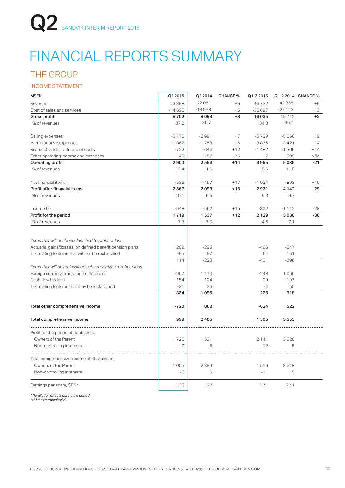# FINANCIAL REPORTS SUMMARY

### THE GROUP

#### INCOME STATEMENT

| <b>MSEK</b>                                                    | Q2 2015  | Q2 2014  | <b>CHANGE %</b> | Q1-2 2015 |          | Q1-2 2014 CHANGE % |
|----------------------------------------------------------------|----------|----------|-----------------|-----------|----------|--------------------|
| Revenue                                                        | 23 398   | 22051    | $+6$            | 46732     | 42835    | $+9$               |
| Cost of sales and services                                     | $-14696$ | $-13958$ | $+5$            | $-30697$  | $-27123$ | $+13$              |
| <b>Gross profit</b>                                            | 8702     | 8093     | $+8$            | 16035     | 15712    | $+2$               |
| % of revenues                                                  | 37.2     | 36.7     |                 | 34.3      | 36.7     |                    |
| Selling expenses                                               | $-3175$  | $-2981$  | $+7$            | $-6729$   | $-5656$  | $+19$              |
| Administrative expenses                                        | $-1862$  | $-1753$  | $+6$            | $-3876$   | $-3421$  | $+14$              |
| Research and development costs                                 | $-722$   | $-646$   | $+12$           | $-1482$   | $-1305$  | $+14$              |
| Other operating income and expenses                            | $-40$    | $-157$   | $-75$           | 7         | $-295$   | N/M                |
| Operating profit                                               | 2903     | 2556     | $+14$           | 3955      | 5035     | $-21$              |
| % of revenues                                                  | 12.4     | 11.6     |                 | 8.5       | 11.8     |                    |
| Net financial items                                            | $-536$   | $-457$   | $+17$           | $-1024$   | $-893$   | $+15$              |
| Profit after financial items                                   | 2 3 6 7  | 2099     | $+13$           | 2931      | 4 1 4 2  | $-29$              |
| % of revenues                                                  | 10.1     | 9.5      |                 | 6.3       | 9.7      |                    |
| Income tax                                                     | $-648$   | $-562$   | $+15$           | $-802$    | $-1112$  | $-28$              |
| Profit for the period                                          | 1719     | 1537     | $+12$           | 2129      | 3030     | $-30$              |
| % of revenues                                                  | 7.3      | 7.0      |                 | 4.6       | 7.1      |                    |
| Items that will not be reclassified to profit or loss          |          |          |                 |           |          |                    |
| Actuarial gains/(losses) on defined benefit pension plans      | 209      | $-295$   |                 | $-465$    | $-547$   |                    |
| Tax relating to items that will not be reclassified            | $-95$    | 67       |                 | 64        | 151      |                    |
|                                                                | 114      | $-228$   |                 | $-401$    | $-396$   |                    |
| Items that will be reclassified subsequently to profit or loss |          |          |                 |           |          |                    |
| Foreign currency translation differences                       | $-957$   | 1 1 7 4  |                 | $-248$    | 1065     |                    |
| Cash flow hedges                                               | 154      | $-104$   |                 | 29        | $-197$   |                    |
| Tax relating to items that may be reclassified                 | $-31$    | 26       |                 | $-4$      | 50       |                    |
|                                                                | $-834$   | 1096     |                 | $-223$    | 918      |                    |
| Total other comprehensive income                               | $-720$   | 868      |                 | $-624$    | 522      |                    |
| Total comprehensive income                                     | 999      | 2405     |                 | 1505      | 3553     |                    |
| Profit for the period attributable to                          |          |          |                 |           |          |                    |
| Owners of the Parent                                           | 1726     | 1531     |                 | 2141      | 3026     |                    |
| Non-controlling interests                                      | $-7$     | 6        |                 | $-12$     | 5        |                    |
| Total comprehensive income attributable to                     |          |          |                 |           |          |                    |
| Owners of the Parent                                           | 1 0 0 5  | 2 3 9 9  |                 | 1516      | 3548     |                    |
| Non-controlling interests                                      | $-6$     | 6        |                 | $-11$     | 5        |                    |
| Earnings per share, SEK *                                      | 1.38     | 1.22     |                 | 1.71      | 2.41     |                    |

*\* No dilution effects during the period N/M = non-meaningful*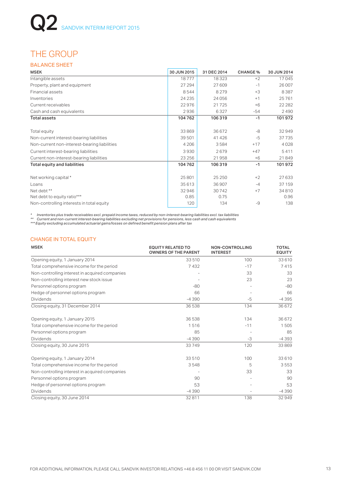## THE GROUP

#### BALANCE SHEET

| <b>MSEK</b>                                  | 30 JUN 2015 | 31 DEC 2014 | <b>CHANGE %</b> | 30 JUN 2014 |
|----------------------------------------------|-------------|-------------|-----------------|-------------|
| Intangible assets                            | 18777       | 18323       | $+2$            | 17045       |
| Property, plant and equipment                | 27 294      | 27 609      | $-1$            | 26 007      |
| <b>Financial assets</b>                      | 8544        | 8 2 7 9     | $+3$            | 8387        |
| Inventories                                  | 24 2 35     | 24 05 6     | $+1$            | 25761       |
| Current receivables                          | 22976       | 21725       | $+6$            | 22 2 8 2    |
| Cash and cash equivalents                    | 2936        | 6327        | $-54$           | 2490        |
| <b>Total assets</b>                          | 104762      | 106 319     | $-1$            | 101972      |
| Total equity                                 | 33869       | 36672       | -8              | 32949       |
| Non-current interest-bearing liabilities     | 39 501      | 41 4 26     | $-5$            | 37735       |
| Non-current non-interest-bearing liabilities | 4 2 0 6     | 3584        | $+17$           | 4028        |
| Current interest-bearing liabilities         | 3930        | 2679        | $+47$           | 5411        |
| Current non-interest-bearing liabilities     | 23 25 6     | 21958       | $+6$            | 21849       |
| Total equity and liabilities                 | 104762      | 106 319     | $-1$            | 101972      |
| Net working capital*                         | 25 801      | 25 25 0     | $+2$            | 27633       |
| Loans                                        | 35613       | 36 907      | $-4$            | 37 159      |
| Net debt **                                  | 32946       | 30742       | $+7$            | 34810       |
| Net debt to equity ratio***                  | 0.85        | 0.75        |                 | 0.96        |
| Non-controlling interests in total equity    | 120         | 134         | $-9$            | 138         |

\* Inventories plus trade receivables excl. prepaid income taxes, reduced by non-interest-bearing liabilities excl. tax liabilities<br>\*\* Current and non-current interest-bearing liabilities excluding net provisions for

#### CHANGE IN TOTAL EQUITY

| <b>MSEK</b>                                    | <b>EQUITY RELATED TO</b><br><b>OWNERS OF THE PARENT</b> | <b>NON-CONTROLLING</b><br><b>INTEREST</b> | <b>TOTAL</b><br><b>EQUITY</b> |
|------------------------------------------------|---------------------------------------------------------|-------------------------------------------|-------------------------------|
| Opening equity, 1 January 2014                 | 33 510                                                  | 100                                       | 33 610                        |
| Total comprehensive income for the period      | 7432                                                    | $-17$                                     | 7415                          |
| Non-controlling interest in acquired companies |                                                         | 33                                        | 33                            |
| Non-controlling interest new stock issue       |                                                         | 23                                        | 23                            |
| Personnel options program                      | $-80$                                                   |                                           | $-80$                         |
| Hedge of personnel options program             | 66                                                      |                                           | 66                            |
| Dividends                                      | $-4390$                                                 | $-5$                                      | $-4395$                       |
| Closing equity, 31 December 2014               | 36538                                                   | 134                                       | 36 672                        |
| Opening equity, 1 January 2015                 | 36538                                                   | 134                                       | 36 672                        |
| Total comprehensive income for the period      | 1516                                                    | $-11$                                     | 1505                          |
| Personnel options program                      | 85                                                      |                                           | 85                            |
| Dividends                                      | $-4390$                                                 | -3                                        | $-4393$                       |
| Closing equity, 30 June 2015                   | 33749                                                   | 120                                       | 33869                         |
| Opening equity, 1 January 2014                 | 33510                                                   | 100                                       | 33 610                        |
| Total comprehensive income for the period      | 3548                                                    | 5                                         | 3553                          |
| Non-controlling interest in acquired companies |                                                         | 33                                        | 33                            |
| Personnel options program                      | 90                                                      |                                           | 90                            |
| Hedge of personnel options program             | 53                                                      |                                           | 53                            |
| <b>Dividends</b>                               | $-4390$                                                 |                                           | $-4390$                       |
| Closing equity, 30 June 2014                   | 32811                                                   | 138                                       | 32949                         |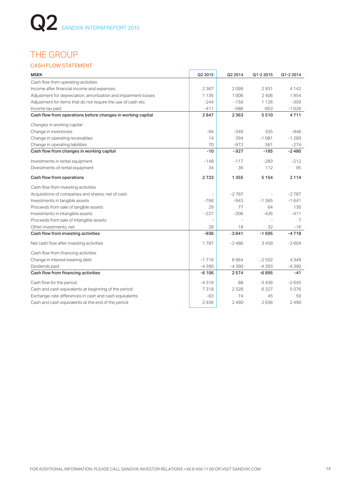## THE GROUP

#### CASH FLOW STATEMENT

| <b>MSEK</b>                                                     | Q2 2015 | Q2 2014 | Q1-2 2015 | Q1-2 2014 |
|-----------------------------------------------------------------|---------|---------|-----------|-----------|
| Cash flow from operating activities                             |         |         |           |           |
| Income after financial income and expenses                      | 2 3 6 7 | 2099    | 2931      | 4 1 4 2   |
| Adjustment for depreciation, amortization and impairment losses | 1 1 3 5 | 1006    | 2406      | 1954      |
| Adjustment for items that do not require the use of cash etc.   | $-244$  | $-156$  | 1 1 2 6   | $-359$    |
| Income tax paid                                                 | $-411$  | $-586$  | $-953$    | $-1026$   |
| Cash flow from operations before changes in working capital     | 2847    | 2 3 6 3 | 5510      | 4711      |
| Changes in working capital                                      |         |         |           |           |
| Change in inventories                                           | $-94$   | $-349$  | 335       | $-946$    |
| Change in operating receivables                                 | 14      | 394     | $-1081$   | $-1260$   |
| Change in operating liabilities                                 | 70      | $-972$  | 561       | $-274$    |
| Cash flow from changes in working capital                       | $-10$   | $-927$  | $-185$    | $-2480$   |
| Investments in rental equipment                                 | $-148$  | $-117$  | $-283$    | $-212$    |
| Divestments of rental equipment                                 | 34      | 36      | 112       | 95        |
| Cash flow from operations                                       | 2723    | 1355    | 5 1 5 4   | 2 1 1 4   |
| Cash flow from investing activities                             |         |         |           |           |
| Acquisitions of companies and shares, net of cash               |         | $-2787$ |           | $-2787$   |
| Investments in tangible assets                                  | $-766$  | $-943$  | $-1.365$  | $-1641$   |
| Proceeds from sale of tangible assets                           | 29      | 77      | 64        | 130       |
| Investments in intangible assets                                | $-227$  | $-206$  | $-426$    | $-411$    |
| Proceeds from sale of intangible assets                         |         |         |           | 7         |
| Other investments, net                                          | 28      | 18      | 32        | -16       |
| Cash flow from investing activities                             | $-936$  | $-3841$ | $-1695$   | $-4718$   |
| Net cash flow after investing activities                        | 1787    | $-2486$ | 3459      | $-2604$   |
| Cash flow from financing activities                             |         |         |           |           |
| Change in interest-bearing debt                                 | $-1716$ | 6964    | $-2502$   | 4349      |
| Dividends paid                                                  | $-4390$ | $-4390$ | $-4393$   | $-4390$   |
| Cash flow from financing activities                             | $-6106$ | 2574    | $-6895$   | -41       |
| Cash flow for the period                                        | $-4319$ | 88      | $-3436$   | $-2645$   |
| Cash and cash equivalents at beginning of the period            | 7318    | 2328    | 6327      | 5076      |
| Exchange-rate differences in cash and cash equivalents          | -63     | 74      | 45        | 59        |
| Cash and cash equivalents at the end of the period              | 2936    | 2490    | 2936      | 2490      |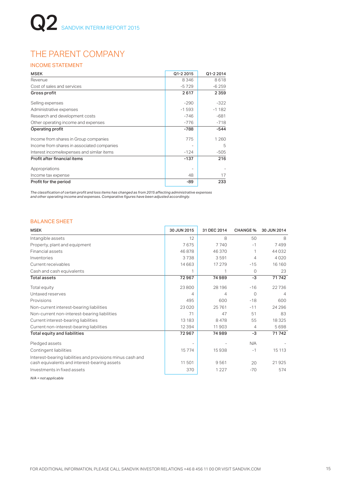## THE PARENT COMPANY

#### INCOME STATEMENT

| <b>MSEK</b>                                | Q1-2 2015 | Q1-2 2014 |
|--------------------------------------------|-----------|-----------|
| Revenue                                    | 8346      | 8618      |
| Cost of sales and services                 | $-5729$   | $-6259$   |
| Gross profit                               | 2617      | 2 3 5 9   |
| Selling expenses                           | $-290$    | $-322$    |
| Administrative expenses                    | $-1593$   | $-1182$   |
| Research and development costs             | $-746$    | $-681$    |
| Other operating income and expenses        | $-776$    | $-718$    |
| Operating profit                           | $-788$    | $-544$    |
| Income from shares in Group companies      | 775       | 1 260     |
| Income from shares in associated companies |           | 5         |
| Interest income/expenses and similar items | $-124$    | $-505$    |
| Profit after financial items               | $-137$    | 216       |
| Appropriations                             |           |           |
| Income tax expense                         | 48        | 17        |
| Profit for the period                      | -89       | 233       |

*The classification of certain profit and loss items has changed as from 2015 affecting administrative expenses and other operating income and expenses. Comparative figures have been adjusted accordingly.*

#### BALANCE SHEET

| <b>MSEK</b>                                                                                                | 30 JUN 2015              | 31 DEC 2014    | <b>CHANGE %</b> | 30 JUN 2014 |
|------------------------------------------------------------------------------------------------------------|--------------------------|----------------|-----------------|-------------|
| Intangible assets                                                                                          | 12                       | 8              | 50              | 8           |
| Property, plant and equipment                                                                              | 7675                     | 7740           | $-1$            | 7499        |
| Financial assets                                                                                           | 46878                    | 46 370         |                 | 44032       |
| Inventories                                                                                                | 3738                     | 3591           | 4               | 4020        |
| Current receivables                                                                                        | 14 6 63                  | 17 279         | $-15$           | 16 160      |
| Cash and cash equivalents                                                                                  | 1                        |                | 0               | 23          |
| <b>Total assets</b>                                                                                        | 72967                    | 74989          | $-3$            | 71742       |
| Total equity                                                                                               | 23800                    | 28 196         | $-16$           | 22736       |
| Untaxed reserves                                                                                           | 4                        | $\overline{4}$ | $\Omega$        | 4           |
| Provisions                                                                                                 | 495                      | 600            | $-18$           | 600         |
| Non-current interest-bearing liabilities                                                                   | 23 0 20                  | 25761          | $-11$           | 24 29 6     |
| Non-current non-interest-bearing liabilities                                                               | 71                       | 47             | 51              | 83          |
| Current interest-bearing liabilities                                                                       | 13 183                   | 8478           | 55              | 18325       |
| Current non-interest-bearing liabilities                                                                   | 12 3 9 4                 | 11903          | 4               | 5698        |
| Total equity and liabilities                                                                               | 72967                    | 74989          | -3              | 71742       |
| Pledged assets                                                                                             | $\overline{\phantom{a}}$ |                | N/A             |             |
| Contingent liabilities                                                                                     | 15774                    | 15938          | $-1$            | 15 113      |
| Interest-bearing liabilities and provisions minus cash and<br>cash equivalents and interest-bearing assets | 11501                    | 9561           | 20              | 21925       |
| Investments in fixed assets                                                                                | 370                      | 1 2 2 7        | $-70$           | 574         |

*N/A = not applicable*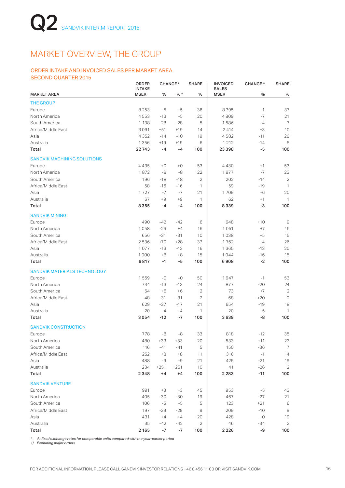## MARKET OVERVIEW, THE GROUP

#### ORDER INTAKE AND INVOICED SALES PER MARKET AREA SECOND QUARTER 2015

|                                     | <b>ORDER</b><br><b>INTAKE</b> |        | <b>CHANGE*</b> | <b>SHARE</b>   | <b>INVOICED</b><br><b>SALES</b> | <b>CHANGE*</b> | <b>SHARE</b>   |
|-------------------------------------|-------------------------------|--------|----------------|----------------|---------------------------------|----------------|----------------|
| <b>MARKET AREA</b>                  | <b>MSEK</b>                   | %      | $9/0^{11}$     | $\%$           | <b>MSEK</b>                     | %              | $\%$           |
| <b>THE GROUP</b>                    |                               |        |                |                |                                 |                |                |
| Europe                              | 8 2 5 3                       | -5     | $-5$           | 36             | 8795                            | $-1$           | 37             |
| North America                       | 4553                          | $-13$  | $-5$           | 20             | 4809                            | $-7$           | 21             |
| South America                       | 1 1 3 8                       | $-28$  | $-28$          | 5              | 1586                            | $-4$           | $\overline{7}$ |
| Africa/Middle East                  | 3091                          | $+51$  | $+19$          | 14             | 2414                            | $+3$           | 10             |
| Asia                                | 4352                          | $-14$  | $-10$          | 19             | 4582                            | $-11$          | 20             |
| Australia                           | 1356                          | $+19$  | $+19$          | 6              | 1 2 1 2                         | $-14$          | 5              |
| Total                               | 22743                         | -4     | $-4$           | 100            | 23398                           | -5             | 100            |
| <b>SANDVIK MACHINING SOLUTIONS</b>  |                               |        |                |                |                                 |                |                |
| Europe                              | 4435                          | $+0$   | $+0$           | 53             | 4430                            | $+1$           | 53             |
| North America                       | 1872                          | -8     | -8             | 22             | 1877                            | $-7$           | 23             |
| South America                       | 196                           | $-18$  | $-18$          | $\overline{2}$ | 202                             | $-14$          | $\overline{2}$ |
| Africa/Middle East                  | 58                            | $-16$  | $-16$          | 1              | 59                              | $-19$          | $\mathbf{1}$   |
| Asia                                | 1727                          | -7     | $-7$           | 21             | 1709                            | $-6$           | 20             |
| Australia                           | 67                            | $+9$   | $+9$           | $\mathbf{1}$   | 62                              | $+1$           | 1              |
| Total                               | 8355                          | -4     | $-4$           | 100            | 8339                            | -3             | 100            |
| <b>SANDVIK MINING</b>               |                               |        |                |                |                                 |                |                |
| Europe                              | 490                           | $-42$  | $-42$          | 6              | 648                             | $+10$          | 9              |
| North America                       | 1058                          | $-26$  | $+4$           | 16             | 1051                            | $+7$           | 15             |
| South America                       | 656                           | $-31$  | $-31$          | 10             | 1038                            | $+5$           | 15             |
| Africa/Middle East                  | 2536                          | $+70$  | $+28$          | 37             | 1762                            | $+4$           | 26             |
| Asia                                | 1077                          | $-13$  | $-13$          | 16             | 1365                            | $-13$          | 20             |
| Australia                           | 1000                          | $+8$   | $+8$           | 15             | 1044                            | $-16$          | 15             |
| Total                               | 6817                          | $-1$   | -5             | 100            | 6908                            | $-2$           | 100            |
| <b>SANDVIK MATERIALS TECHNOLOGY</b> |                               |        |                |                |                                 |                |                |
| Europe                              | 1559                          | $-0$   | $-0$           | 50             | 1947                            | $-1$           | 53             |
| North America                       | 734                           | $-13$  | $-13$          | 24             | 877                             | $-20$          | 24             |
| South America                       | 64                            | $+6$   | $+6$           | 2              | 73                              | $+7$           | $\overline{2}$ |
| Africa/Middle East                  | 48                            | $-31$  | $-31$          | $\mathbf{2}$   | 68                              | $+20$          | $\overline{2}$ |
| Asia                                | 629                           | $-37$  | $-17$          | 21             | 654                             | $-19$          | 18             |
| Australia                           | 20                            | $-4$   | $-4$           | 1              | 20                              | $-5$           | 1              |
| Total                               | 3054                          | $-12$  | $-7$           | 100            | 3639                            | -8             | 100            |
| <b>SANDVIK CONSTRUCTION</b>         |                               |        |                |                |                                 |                |                |
| Europe                              | 778                           | -8     | -8             | 33             | 818                             | $-12$          | 35             |
| North America                       | 480                           | $+33$  | $+33$          | 20             | 533                             | $+11$          | 23             |
| South America                       | 116                           | $-41$  | $-41$          | 5              | 150                             | $-36$          | $\overline{7}$ |
| Africa/Middle East                  | 252                           | $+8$   | $+8$           | 11             | 316                             | $-1$           | 14             |
| Asia                                | 488                           | -9     | -9             | 21             | 425                             | $-21$          | 19             |
| Australia                           | 234                           | $+251$ | $+251$         | 10             | 41                              | $-26$          | $\overline{2}$ |
| Total                               | 2348                          | $+4$   | $+4$           | 100            | 2283                            | $-11$          | 100            |
| <b>SANDVIK VENTURE</b>              |                               |        |                |                |                                 |                |                |
| Europe                              | 991                           | $+3$   | $+3$           | 45             | 953                             | $-5$           | 43             |
| North America                       | 405                           | $-30$  | -30            | 19             | 467                             | $-27$          | 21             |
| South America                       | 106                           | $-5$   | $-5$           | 5              | 123                             | $+21$          | $\,6$          |
| Africa/Middle East                  | 197                           | $-29$  | $-29$          | 9              | 209                             | $-10$          | $\mathsf g$    |
| Asia                                | 431                           | $+4$   | $+4$           | 20             | 428                             | $+0$           | 19             |
| Australia                           | 35                            | $-42$  | $-42$          | 2              | 46                              | -34            | $\mathbf{2}$   |
| Total                               | 2 1 6 5                       | $-7$   | -7             | 100            | 2226                            | -9             | 100            |

*\* At fixed exchange rates for comparable units compared with the year-earlier period 1) Excluding major orders*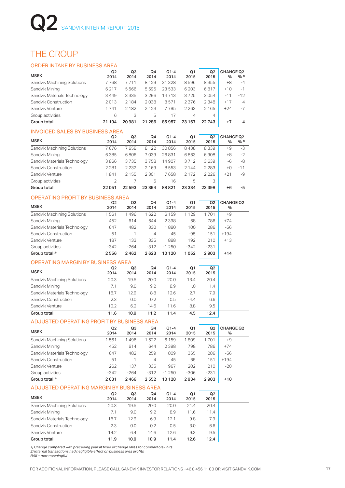### THE GROUP

#### ORDER INTAKE BY BUSINESS AREA

| ORDER INTAKE BY BUSINESS AREA            |                        |                |                |                |            |                        |                          |       |
|------------------------------------------|------------------------|----------------|----------------|----------------|------------|------------------------|--------------------------|-------|
| <b>MSEK</b>                              | Q <sub>2</sub><br>2014 | Q3<br>2014     | Q4<br>2014     | $Q1-4$<br>2014 | Q1<br>2015 | Q <sub>2</sub><br>2015 | <b>CHANGE Q2</b><br>$\%$ | % 1)  |
| Sandvik Machining Solutions              | 7768                   | 7711           | 8 1 2 9        | 31 328         | 8596       | 8355                   | $+8$                     | $-4$  |
| Sandvik Mining                           | 6217                   | 5566           | 5695           | 23 533         | 6 2 0 3    | 6817                   | $+10$                    | $-1$  |
| Sandvik Materials Technology             | 3449                   | 3 3 3 5        | 3 2 9 6        | 14713          | 3725       | 3054                   | $-11$                    | $-12$ |
| Sandvik Construction                     | 2013                   | 2 1 8 4        | 2038           | 8571           | 2376       | 2348                   | $+17$                    | $+4$  |
| Sandvik Venture                          | 1741                   | 2 1 8 2        | 2 1 2 3        | 7795           | 2 2 6 3    | 2 1 6 5                | $+24$                    | $-7$  |
| Group activities                         | 6                      | 3              | 5              | 17             | 4          | 4                      |                          |       |
| Group total                              | 21 194                 | 20981          | 21 286         | 85957          | 23 167     | 22743                  | $+7$                     | $-4$  |
| <b>INVOICED SALES BY BUSINESS AREA</b>   |                        |                |                |                |            |                        |                          |       |
| <b>MSEK</b>                              | Q <sub>2</sub><br>2014 | Q3<br>2014     | Q4<br>2014     | $Q1-4$<br>2014 | Q1<br>2015 | Q2<br>2015             | <b>CHANGE Q2</b><br>%    | %11   |
| Sandvik Machining Solutions              | 7676                   | 7658           | 8122           | 30856          | 8438       | 8339                   | $+9$                     | -3    |
| Sandvik Mining                           | 6385                   | 6806           | 7039           | 26831          | 6863       | 6908                   | $+8$                     | $-2$  |
| Sandvik Materials Technology             | 3866                   | 3735           | 3758           | 14907          | 3712       | 3639                   | $-6$                     | -8    |
| Sandvik Construction                     | 2 2 8 1                | 2 2 3 2        | 2 1 6 9        | 8553           | 2 1 4 4    | 2 2 8 3                | $+0$                     | $-11$ |
| Sandvik Venture                          | 1841                   | 2 1 5 5        | 2 3 0 1        | 7658           | 2 1 7 2    | 2 2 2 6                | $+21$                    | -9    |
| Group activities                         | $\overline{2}$         | $\overline{7}$ | 5              | 16             | 5          | 3                      |                          |       |
| Group total                              | 22051                  | 22593          | 23 394         | 88821          | 23 334     | 23 3 98                | $+6$                     | $-5$  |
| <b>OPERATING PROFIT BY BUSINESS AREA</b> |                        |                |                |                |            |                        |                          |       |
| <b>MSEK</b>                              | Q2<br>2014             | Q3<br>2014     | Q4<br>2014     | $Q1-4$<br>2014 | Q1<br>2015 | Q2<br>2015             | <b>CHANGE Q2</b><br>%    |       |
| Sandvik Machining Solutions              | 1561                   | 1496           | 1622           | 6 1 5 9        | 1129       | 1701                   | $+9$                     |       |
| Sandvik Mining                           | 452                    | 614            | 644            | 2 3 9 8        | 68         | 786                    | $+74$                    |       |
| Sandvik Materials Technology             | 647                    | 482            | 330            | 1880           | 100        | 286                    | $-56$                    |       |
| Sandvik Construction                     | 51                     | 1              | $\overline{4}$ | 45             | $-95$      | 151                    | $+194$                   |       |
| Sandvik Venture                          | 187                    | 133            | 335            | 888            | 192        | 210                    | $+13$                    |       |
| Group activities                         | $-342$                 | $-264$         | $-312$         | $-1250$        | $-342$     | $-231$                 |                          |       |
| Group total <sup>2)</sup>                | 2556                   | 2462           | 2623           | 10 120         | 1052       | 2903                   | $+14$                    |       |
| <b>OPERATING MARGIN BY BUSINESS AREA</b> |                        |                |                |                |            |                        |                          |       |
| <b>MSEK</b>                              | Q <sub>2</sub><br>2014 | Q3<br>2014     | Q4<br>2014     | $Q1-4$<br>2014 | Q1<br>2015 | Q2<br>2015             |                          |       |
| Sandvik Machining Solutions              | 20.3                   | 19.5           | 20.0           | 20.0           | 13.4       | 20.4                   |                          |       |
| Sandvik Mining                           | 7.1                    | 9.0            | 9.2            | 8.9            | 1.0        | 11.4                   |                          |       |
| Sandvik Materials Technology             | 16.7                   | 12.9           | 8.8            | 12.6           | 2.7        | 7.9                    |                          |       |
| Sandvik Construction                     | 2.3                    | 0.0            | 0.2            | 0.5            | $-4.4$     | 6.6                    |                          |       |
| Sandvik Venture                          | 10.2                   | 6.2            | 14.6           | 11.6           | 8.8        | 9.5                    |                          |       |
| Group total                              | 11.6                   | 10.9           | 11.2           | 11.4           | 4.5        | 12.4                   |                          |       |

#### ADJUSTED OPERATING PROFIT BY BUSINESS AREA

| <b>MSEK</b>                                | Q <sub>2</sub><br>2014 | Q3<br>2014 | Q4<br>2014 | $Q1 - 4$<br>2014 | Q <sub>1</sub><br>2015 | Q <sub>2</sub><br>2015 | <b>CHANGE Q2</b><br>% |
|--------------------------------------------|------------------------|------------|------------|------------------|------------------------|------------------------|-----------------------|
| Sandvik Machining Solutions                | 1561                   | 1496       | 1622       | 6 1 5 9          | 1809                   | 1701                   | $+9$                  |
| Sandvik Mining                             | 452                    | 614        | 644        | 2 3 9 8          | 798                    | 786                    | $+74$                 |
| Sandvik Materials Technology               | 647                    | 482        | 259        | 1809             | 365                    | 286                    | $-56$                 |
| Sandvik Construction                       | 51                     |            | 4          | 45               | 65                     | 151                    | $+194$                |
| Sandvik Venture                            | 262                    | 137        | 335        | 967              | 202                    | 210                    | $-20$                 |
| Group activities                           | $-342$                 | $-264$     | $-312$     | $-1250$          | $-306$                 | $-231$                 |                       |
| Group total <sup>2)</sup>                  | 2631                   | 2466       | 2552       | 10128            | 2934                   | 2903                   | $+10$                 |
| ADJUSTED OPERATING MARGIN BY BUSINESS AREA |                        |            |            |                  |                        |                        |                       |

| <b>MSEK</b>                  | Q2<br>2014 | Q3<br>2014 | Q4<br>2014 | $Q1 - 4$<br>2014 | Q1<br>2015 | Q2<br>2015 |
|------------------------------|------------|------------|------------|------------------|------------|------------|
| Sandvik Machining Solutions  | 20.3       | 19.5       | 20.0       | 20.0             | 21.4       | 20.4       |
| Sandvik Mining               | 7.1        | 9.0        | 9.2        | 8.9              | 11.6       | 11.4       |
| Sandvik Materials Technology | 16.7       | 12.9       | 6.9        | 12.1             | 9.8        | 7.9        |
| Sandvik Construction         | 2.3        | 0.0        | 0.2        | 0.5              | 3.0        | 6.6        |
| Sandvik Venture              | 14.2       | 6.4        | 14.6       | 12.6             | 9.3        | 9.5        |
| Group total                  | 11.9       | 10.9       | 10.9       | 11.4             | 12.6       | 12.4       |

*1) Change compared with preceding year at fixed exchange rates for comparable units 2) Internal transactions had negligible effect on business area profits N/M = non-meaningful*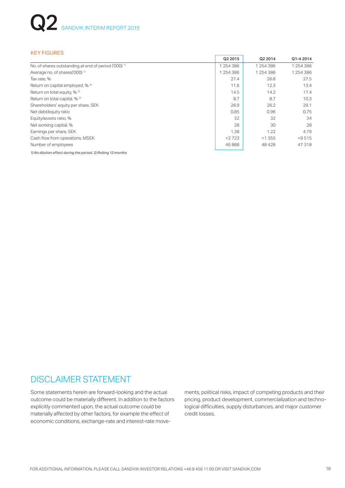| <b>KEY FIGURES</b>                                              |         |           |           |
|-----------------------------------------------------------------|---------|-----------|-----------|
|                                                                 | Q2 2015 | Q2 2014   | Q1-4 2014 |
| No. of shares outstanding at end of period ('000) <sup>1)</sup> | 254386  | 1 254 386 | 1 254 386 |
| Average no. of shares ('000) <sup>1)</sup>                      | 254386  | 1254386   | 1254386   |
| Tax rate, %                                                     | 27.4    | 26.8      | 27.5      |
| Return on capital employed, % 2)                                | 11.6    | 12.3      | 13.4      |
| Return on total equity, % <sup>2)</sup>                         | 14.5    | 14.2      | 17.4      |
| Return on total capital, % <sup>2)</sup>                        | 8.7     | 8.7       | 10.3      |
| Shareholders' equity per share, SEK                             | 26.9    | 26.2      | 29.1      |
| Net debt/equity ratio                                           | 0.85    | 0.96      | 0.75      |
| Equity/assets ratio, %                                          | 32      | 32        | 34        |
| Net working capital, %                                          | 28      | 30        | 28        |
| Earnings per share, SEK                                         | 1.38    | 1.22      | 4.79      |
| Cash flow from operations, MSEK                                 | $+2723$ | $+1355$   | $+9515$   |
| Number of employees                                             | 46888   | 48428     | 47318     |

*1) No dilution effect during the period. 2) Rolling 12 months*

## DISCLAIMER STATEMENT

Some statements herein are forward-looking and the actual outcome could be materially different. In addition to the factors explicitly commented upon, the actual outcome could be materially affected by other factors, for example the effect of economic conditions, exchange-rate and interest-rate movements, political risks, impact of competing products and their pricing, product development, commercialization and technological difficulties, supply disturbances, and major customer credit losses.